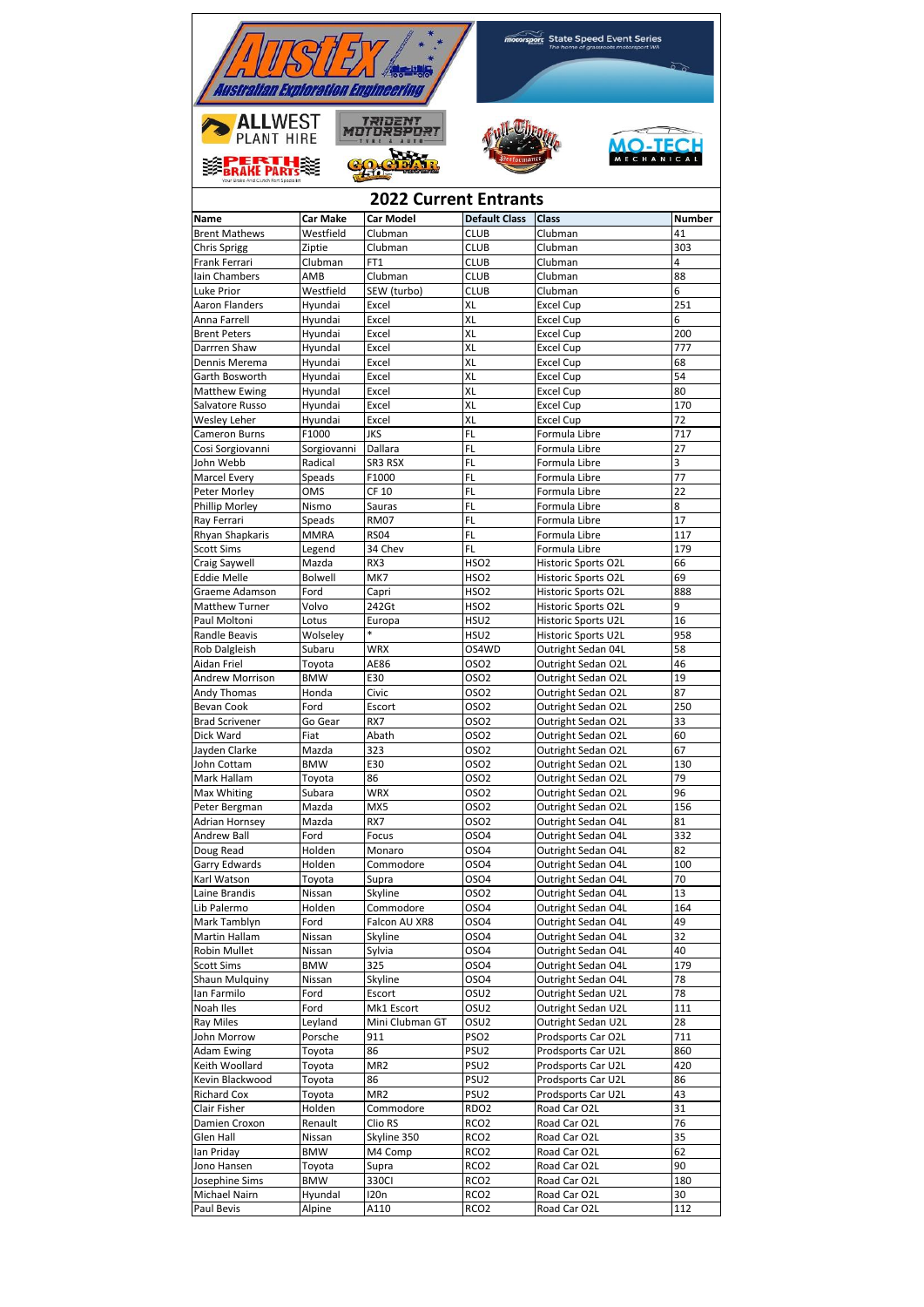| <b>mororspore</b> State Speed Event Series<br>The home of grassroots motorsport WA<br>Australian Exploration Engineering             |                       |                              |                                      |                                          |               |  |  |  |
|--------------------------------------------------------------------------------------------------------------------------------------|-----------------------|------------------------------|--------------------------------------|------------------------------------------|---------------|--|--|--|
| <b>ALLWEST</b><br>TRIJENT<br>Yuwrsport<br><b>PLANT HIRE</b><br>MECHANICA<br><b>ELECTE</b><br><b>Brake And Clutch Part Specialist</b> |                       |                              |                                      |                                          |               |  |  |  |
|                                                                                                                                      |                       | <b>2022 Current Entrants</b> |                                      |                                          |               |  |  |  |
| Name                                                                                                                                 | Car Make<br>Westfield | Car Model<br>Clubman         | <b>Default Class</b>                 | <b>Class</b>                             | <b>Number</b> |  |  |  |
| <b>Brent Mathews</b><br>Chris Sprigg                                                                                                 | Ziptie                | Clubman                      | CLUB<br><b>CLUB</b>                  | Clubman<br>Clubman                       | 41<br>303     |  |  |  |
| Frank Ferrari                                                                                                                        | Clubman               | FT <sub>1</sub>              | <b>CLUB</b>                          | Clubman                                  | 4             |  |  |  |
| lain Chambers                                                                                                                        | AMB                   | Clubman                      | <b>CLUB</b>                          | Clubman                                  | 88            |  |  |  |
| Luke Prior                                                                                                                           | Westfield             | SEW (turbo)                  | <b>CLUB</b>                          | Clubman                                  | 6             |  |  |  |
| <b>Aaron Flanders</b>                                                                                                                | Hyundai               | Excel                        | <b>XL</b>                            | <b>Excel Cup</b>                         | 251           |  |  |  |
| Anna Farrell                                                                                                                         | Hyundai               | Excel                        | XL                                   | <b>Excel Cup</b>                         | 6             |  |  |  |
| <b>Brent Peters</b>                                                                                                                  | Hyundai               | Excel                        | XL                                   | Excel Cup                                | 200           |  |  |  |
| Darrren Shaw                                                                                                                         | Hyundal               | Excel<br>Excel               | XL<br>XL                             | Excel Cup                                | 777<br>68     |  |  |  |
| Dennis Merema<br>Garth Bosworth                                                                                                      | Hyundai<br>Hyundai    | Excel                        | XL                                   | Excel Cup<br>Excel Cup                   | 54            |  |  |  |
| <b>Matthew Ewing</b>                                                                                                                 | Hyundal               | Excel                        | XL                                   | Excel Cup                                | 80            |  |  |  |
| Salvatore Russo                                                                                                                      | Hyundai               | Excel                        | XL                                   | Excel Cup                                | 170           |  |  |  |
| Wesley Leher                                                                                                                         | Hyundai               | Excel                        | XL                                   | Excel Cup                                | 72            |  |  |  |
| Cameron Burns                                                                                                                        | F1000                 | JKS                          | FL                                   | Formula Libre                            | 717           |  |  |  |
| Cosi Sorgiovanni                                                                                                                     | Sorgiovanni           | Dallara                      | FL                                   | Formula Libre                            | 27            |  |  |  |
| John Webb                                                                                                                            | Radical               | SR3 RSX                      | FL                                   | Formula Libre                            | 3             |  |  |  |
| Marcel Every                                                                                                                         | Speads                | F1000                        | FL                                   | Formula Libre                            | 77            |  |  |  |
| Peter Morley<br>Phillip Morley                                                                                                       | OMS<br>Nismo          | <b>CF 10</b>                 | FL<br>FL                             | Formula Libre<br>Formula Libre           | 22<br>8       |  |  |  |
| Ray Ferrari                                                                                                                          | Speads                | Sauras<br><b>RM07</b>        | FL                                   | Formula Libre                            | 17            |  |  |  |
| Rhyan Shapkaris                                                                                                                      | <b>MMRA</b>           | <b>RS04</b>                  | FL                                   | Formula Libre                            | 117           |  |  |  |
| <b>Scott Sims</b>                                                                                                                    | Legend                | 34 Chev                      | FL                                   | Formula Libre                            | 179           |  |  |  |
| Craig Saywell                                                                                                                        | Mazda                 | RX3                          | HSO <sub>2</sub>                     | Historic Sports O2L                      | 66            |  |  |  |
| <b>Eddie Melle</b>                                                                                                                   | <b>Bolwell</b>        | MK7                          | HSO <sub>2</sub>                     | Historic Sports O2L                      | 69            |  |  |  |
| Graeme Adamson                                                                                                                       | Ford                  | Capri                        | HSO <sub>2</sub>                     | Historic Sports O2L                      | 888           |  |  |  |
| <b>Matthew Turner</b>                                                                                                                | Volvo                 | 242Gt                        | HSO <sub>2</sub>                     | Historic Sports O2L                      | 9             |  |  |  |
| Paul Moltoni                                                                                                                         | Lotus                 | Europa                       | HSU <sub>2</sub>                     | <b>Historic Sports U2L</b>               | 16            |  |  |  |
| Randle Beavis                                                                                                                        | Wolseley<br>Subaru    | WRX                          | HSU <sub>2</sub><br>OS4WD            | Historic Sports U2L                      | 958<br>58     |  |  |  |
| Rob Dalgleish<br>Aidan Friel                                                                                                         | Toyota                | AE86                         | OSO <sub>2</sub>                     | Outright Sedan 04L<br>Outright Sedan O2L | 46            |  |  |  |
| <b>Andrew Morrison</b>                                                                                                               | <b>BMW</b>            | E30                          | OSO <sub>2</sub>                     | Outright Sedan O2L                       | 19            |  |  |  |
| <b>Andy Thomas</b>                                                                                                                   | Honda                 | Civic                        | OSO <sub>2</sub>                     | Outright Sedan O2L                       | 87            |  |  |  |
| <b>Bevan Cook</b>                                                                                                                    | Ford                  | Escort                       | OSO <sub>2</sub>                     | Outright Sedan O2L                       | 250           |  |  |  |
| <b>Brad Scrivener</b>                                                                                                                | Go Gear               | RX7                          | OSO <sub>2</sub>                     | Outright Sedan O2L                       | 33            |  |  |  |
| Dick Ward                                                                                                                            | Fiat                  | Abath                        | OSO <sub>2</sub>                     | Outright Sedan O2L                       | 60            |  |  |  |
| Jayden Clarke                                                                                                                        | Mazda                 | 323                          | OSO2                                 | Outright Sedan O2L                       | 67            |  |  |  |
| John Cottam                                                                                                                          | <b>BMW</b>            | E30                          | OSO2                                 | Outright Sedan O2L                       | 130           |  |  |  |
| Mark Hallam                                                                                                                          | Toyota                | 86                           | OSO <sub>2</sub>                     | Outright Sedan O2L                       | 79            |  |  |  |
| Max Whiting<br>Peter Bergman                                                                                                         | Subara<br>Mazda       | <b>WRX</b><br>MX5            | OSO <sub>2</sub><br>OSO2             | Outright Sedan O2L<br>Outright Sedan O2L | 96<br>156     |  |  |  |
| <b>Adrian Hornsey</b>                                                                                                                | Mazda                 | RX7                          | OSO2                                 | Outright Sedan O4L                       | 81            |  |  |  |
| <b>Andrew Ball</b>                                                                                                                   | Ford                  | Focus                        | OSO4                                 | Outright Sedan O4L                       | 332           |  |  |  |
| Doug Read                                                                                                                            | Holden                | Monaro                       | OSO4                                 | Outright Sedan O4L                       | 82            |  |  |  |
| Garry Edwards                                                                                                                        | Holden                | Commodore                    | OSO4                                 | Outright Sedan O4L                       | 100           |  |  |  |
| Karl Watson                                                                                                                          | Toyota                | Supra                        | OSO4                                 | Outright Sedan O4L                       | 70            |  |  |  |
| Laine Brandis                                                                                                                        | Nissan                | Skyline                      | OSO2                                 | Outright Sedan O4L                       | 13            |  |  |  |
| Lib Palermo                                                                                                                          | Holden                | Commodore                    | OSO4                                 | Outright Sedan O4L                       | 164           |  |  |  |
| Mark Tamblyn                                                                                                                         | Ford                  | Falcon AU XR8                | OSO4                                 | Outright Sedan O4L                       | 49            |  |  |  |
| Martin Hallam<br>Robin Mullet                                                                                                        | Nissan<br>Nissan      | Skyline<br>Sylvia            | OSO4<br>OSO4                         | Outright Sedan O4L<br>Outright Sedan O4L | 32<br>40      |  |  |  |
| Scott Sims                                                                                                                           | <b>BMW</b>            | 325                          | OSO4                                 | Outright Sedan O4L                       | 179           |  |  |  |
| Shaun Mulquiny                                                                                                                       | Nissan                | Skyline                      | OSO4                                 | Outright Sedan O4L                       | 78            |  |  |  |
| lan Farmilo                                                                                                                          | Ford                  | Escort                       | OSU <sub>2</sub>                     | Outright Sedan U2L                       | 78            |  |  |  |
| Noah Iles                                                                                                                            | Ford                  | Mk1 Escort                   | OSU <sub>2</sub>                     | Outright Sedan U2L                       | 111           |  |  |  |
| Ray Miles                                                                                                                            | Leyland               | Mini Clubman GT              | OSU <sub>2</sub>                     | Outright Sedan U2L                       | 28            |  |  |  |
| John Morrow                                                                                                                          | Porsche               | 911                          | PSO <sub>2</sub>                     | Prodsports Car O2L                       | 711           |  |  |  |
| <b>Adam Ewing</b>                                                                                                                    | Toyota                | 86                           | PSU <sub>2</sub><br>PSU <sub>2</sub> | Prodsports Car U2L                       | 860           |  |  |  |
| Keith Woollard<br>Kevin Blackwood                                                                                                    | Toyota<br>Toyota      | MR <sub>2</sub><br>86        | PSU <sub>2</sub>                     | Prodsports Car U2L<br>Prodsports Car U2L | 420<br>86     |  |  |  |
| <b>Richard Cox</b>                                                                                                                   | Toyota                | MR <sub>2</sub>              | PSU <sub>2</sub>                     | Prodsports Car U2L                       | 43            |  |  |  |
| Clair Fisher                                                                                                                         | Holden                | Commodore                    | RDO <sub>2</sub>                     | Road Car O2L                             | 31            |  |  |  |
| Damien Croxon                                                                                                                        | Renault               | Clio RS                      | RCO <sub>2</sub>                     | Road Car O2L                             | 76            |  |  |  |
| Glen Hall                                                                                                                            | Nissan                | Skyline 350                  | RCO <sub>2</sub>                     | Road Car O2L                             | 35            |  |  |  |
| lan Priday                                                                                                                           | <b>BMW</b>            | M4 Comp                      | RCO <sub>2</sub>                     | Road Car O2L                             | 62            |  |  |  |
| Jono Hansen                                                                                                                          | Toyota                | Supra                        | RCO <sub>2</sub>                     | Road Car O2L                             | 90            |  |  |  |
| Josephine Sims                                                                                                                       | <b>BMW</b>            | 330CI                        | RCO <sub>2</sub>                     | Road Car O2L                             | 180           |  |  |  |
| Michael Nairn                                                                                                                        | Hyundal               | 120 <sub>n</sub>             | RCO <sub>2</sub>                     | Road Car O2L                             | 30            |  |  |  |
| Paul Bevis                                                                                                                           | Alpine                | A110                         | RCO <sub>2</sub>                     | Road Car O2L                             | 112           |  |  |  |